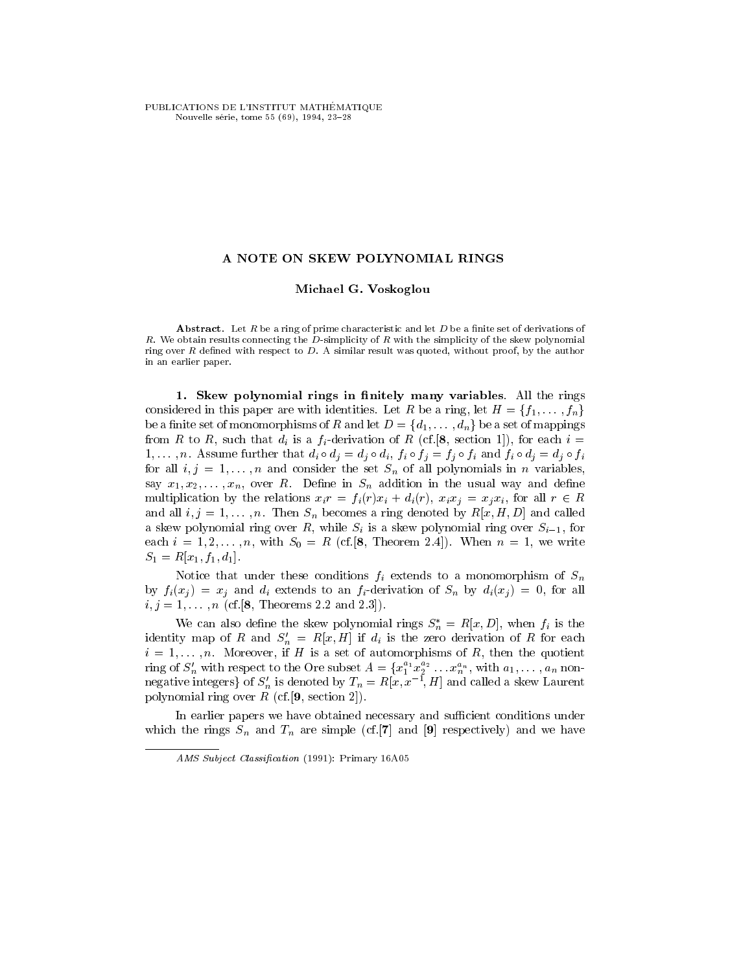PUBLICATIONS DE L'INSTITUT MATHÉMATIQUE Nouvelle série, tome 55 (69), 1994, 23-28

## A NOTE ON SKEW POLYNOMIAL RINGS

## Michael G. Voskoglou

**Abstract.** Let  $R$  be a ring of prime characteristic and let  $D$  be a finite set of derivations of R. We obtain results connecting the  $D$ -simplicity of R with the simplicity of the skew polynomial ring over  $R$  defined with respect to  $D$ . A similar result was quoted, without proof, by the author in an earlier paper.

1. Skew polynomial rings in finitely many variables. All the rings considered in this paper are with identities. Let R be a ring, let  $H = \{f_1, \ldots, f_n\}$ be a finite set of monomorphisms of R and let  $D = \{d_1, \ldots, d_n\}$  be a set of mappings from R to R, such that  $d_i$  is a  $f_i$ -derivation of R (cf. [8, section 1]), for each  $i =$ 1,..., n. Assume further that  $d_i \circ d_j = d_j \circ d_i$ ,  $f_i \circ f_j = f_j \circ f_i$  and  $f_i \circ d_j = d_j \circ f_i$ for all  $i, j = 1, \ldots, n$  and consider the set  $S_n$  of all polynomials in n variables, say  $x_1, x_2, \ldots, x_n$ , over R. Define in  $S_n$  addition in the usual way and define multiplication by the relations  $x_i r = f_i(r)x_i + d_i(r)$ ,  $x_i x_j = x_j x_i$ , for all  $r \in R$ and all  $i, j = 1, \ldots, n$ . Then  $S_n$  becomes a ring denoted by  $R[x, H, D]$  and called a skew polynomial ring over R, while  $S_i$  is a skew polynomial ring over  $S_{i-1}$ , for each  $i = 1, 2, \ldots, n$ , with  $S_0 = R$  (cf. [8, Theorem 2.4]). When  $n = 1$ , we write  $S_1 = R[x_1, f_1, d_1].$ 

Notice that under these conditions  $f_i$  extends to a monomorphism of  $S_n$ by  $f_i(x_i) = x_i$  and  $d_i$  extends to an  $f_i$ -derivation of  $S_n$  by  $d_i(x_i) = 0$ , for all  $i, j = 1, \ldots, n$  (cf. [8, Theorems 2.2 and 2.3]).

We can also define the skew polynomial rings  $S_n^* = R[x, D]$ , when  $f_i$  is the identity map of R and  $S_n' = R[x, H]$  if  $d_i$  is the zero derivation of R for each  $i = 1, \ldots, n$ . Moreover, if H is a set of automorphisms of R, then the quotient ring of  $S'_n$  with respect to the Ore subset  $A = \{x_1^{a_1}x_2^{a_2}\ldots x_n^{a_n}, \text{ with } a_1,\ldots,a_n \text{ non-} \}$ negative integers} of  $S_n'$  is denoted by  $T_n = R[x, x^{-1}, H]$  and called a skew Laurent polynomial ring over  $R$  (cf. [9, section 2]).

In earlier papers we have obtained necessary and sufficient conditions under which the rings  $S_n$  and  $T_n$  are simple (cf.[7] and [9] respectively) and we have

AMS Subject Classification (1991): Primary 16A05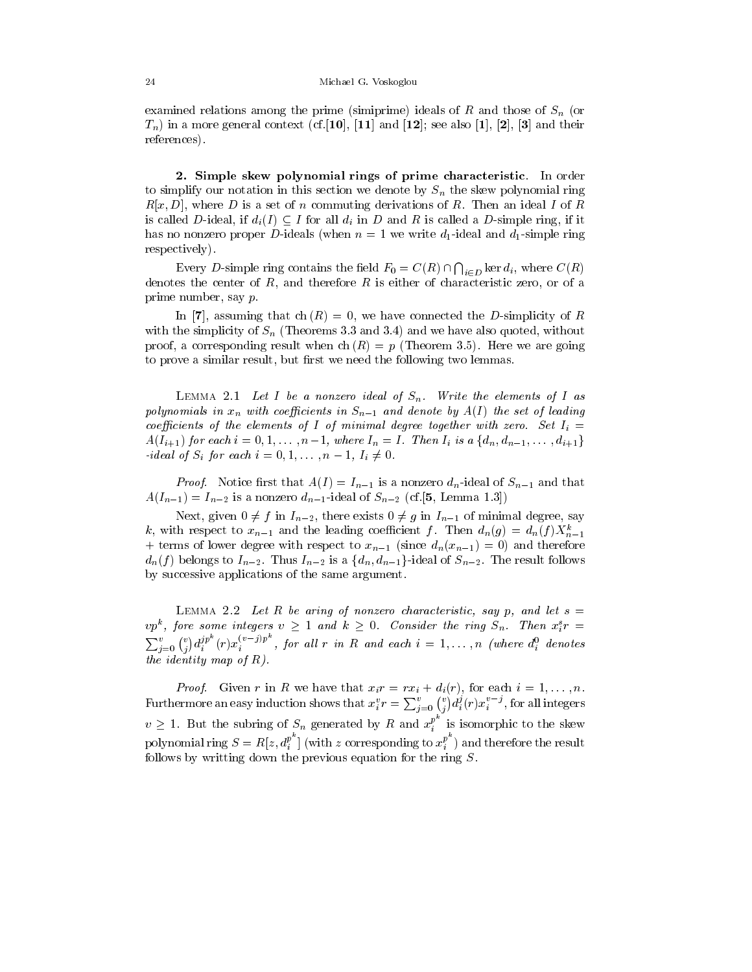examined relations among the prime (simiprime) ideals of  $R$  and those of  $S_n$  (or  $T_n$ ) in a more general context (cf. [10], [11] and [12]; see also [1], [2], [3] and their references).

2. Simple skew polynomial rings of prime characteristic. In order to simplify our notation in this section we denote by  $S_n$  the skew polynomial ring  $R[x, D]$ , where D is a set of n commuting derivations of R. Then an ideal I of R is called D-ideal, if  $d_i(I) \subseteq I$  for all  $d_i$  in D and R is called a D-simple ring, if it has no nonzero proper D-ideals (when  $n = 1$  we write  $d_1$ -ideal and  $d_1$ -simple ring respectively).

Every D-simple ring contains the field  $F_0 = C(R) \cap \bigcap_{i \in D} \ker d_i$ , where  $C(R)$ denotes the center of  $R$ , and therefore  $R$  is either of characteristic zero, or of a prime number, say p.

In [7], assuming that ch  $(R) = 0$ , we have connected the D-simplicity of R with the simplicity of  $S_n$  (Theorems 3.3 and 3.4) and we have also quoted, without proof, a corresponding result when ch  $(R) = p$  (Theorem 3.5). Here we are going to prove a similar result, but first we need the following two lemmas.

LEMMA 2.1 Let I be a nonzero ideal of  $S_n$ . Write the elements of I as polynomials in  $x_n$  with coefficients in  $S_{n-1}$  and denote by  $A(I)$  the set of leading coefficients of the elements of I of minimal degree together with zero. Set  $I_i =$  $A(I_{i+1})$  for each  $i = 0, 1, \ldots, n-1$ , where  $I_n = I$ . Then  $I_i$  is a  $\{d_n, d_{n-1}, \ldots, d_{i+1}\}$ -ideal of  $S_i$  for each  $i = 0, 1, \ldots, n-1, I_i \neq 0$ .

*Proof.* Notice first that  $A(I) = I_{n-1}$  is a nonzero  $d_n$ -ideal of  $S_{n-1}$  and that  $A(I_{n-1}) = I_{n-2}$  is a nonzero  $d_{n-1}$ -ideal of  $S_{n-2}$  (cf.[5, Lemma 1.3])

Next, given  $0 \neq f$  in  $I_{n-2}$ , there exists  $0 \neq g$  in  $I_{n-1}$  of minimal degree, say k, with respect to  $x_{n-1}$  and the leading coefficient f. Then  $d_n(g) = d_n(f) X_{n-1}^k$ + terms of lower degree with respect to  $x_{n-1}$  (since  $d_n(x_{n-1}) = 0$ ) and therefore  $d_n(f)$  belongs to  $I_{n-2}$ . Thus  $I_{n-2}$  is a  $\{d_n,d_{n-1}\}$ -ideal of  $S_{n-2}$ . The result follows by successive applications of the same argument.

LEMMA 2.2 Let R be aring of nonzero characteristic, say p, and let  $s =$  $vp^k$ , fore some integers  $v \geq 1$  and  $k \geq 0$ . Consider the ring  $S_n$ . Then  $x_i^s r =$  $\sum_{i=0}^v {v \choose i} d_i^{p^{\infty}}(r) x_i^{(v-j)p^{\infty}}$ , for all r in R and each  $i=1,\ldots,n$  (where  $d_i^0$  denotes the identity map of  $R$ ).

*Proof.* Given r in R we have that  $x_i = rx_i + d_i(r)$ , for each  $i = 1, ..., n$ . Furthermore an easy induction shows that  $x_i^v r = \sum_{j=0}^v {v \choose j} d_i^j (r) x_i^{v-j}$ , for all integers  $v \geq 1$ . But the subring of  $S_n$  generated by R and  $x_i^p$  is isom <sup>i</sup> is isomorphic to the skew polynomial ring  $S = R[z, d_i^p]$  (with z corresponding to  $x_i^{p^m}$ ) and therefore the result follows by writting down the previous equation for the ring S.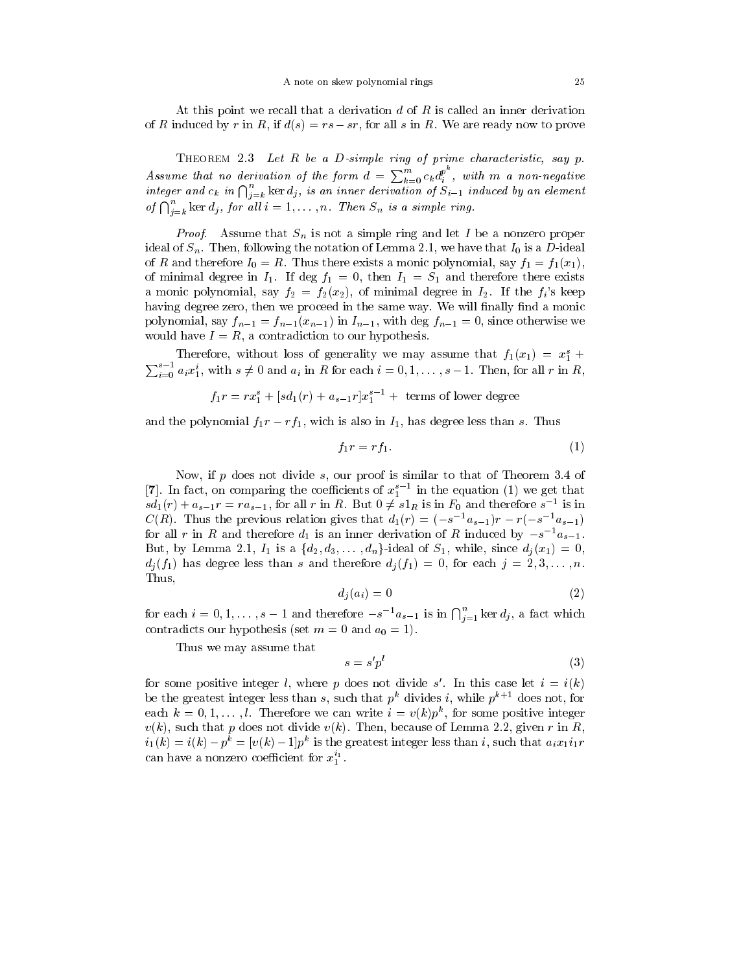At this point we recall that a derivation  $d$  of  $R$  is called an inner derivation At this point we recall that a derivation d of R is called an inner derivation of R induced by r in R, if  $d(s) = rs - sr$ , for all s in R. We are ready now to prove

Assume that no derivation of the form  $d = \sum_{k=0}^{m} c_k d_i^{p^k}$ , with m a non-negative<br>integer and  $c_k$  in  $\bigcap_{i=k}^{n}$  ker  $d_j$ , is an inner derivation of  $S_{i-1}$  induced by an element of  $\bigcap_{i=k}^n \ker d_j$ , for all  $i=1,\ldots,n$ . Then  $S_n$  is a simple ring.

*Proof.* Assume that  $S_n$  is not a simple ring and let I be a nonzero proper ideal of  $S_n$ . Then, following the notation of Lemma 2.1, we have that  $I_0$  is a D-ideal of R and therefore  $I_0 = R$ . Thus there exists a monic polynomial, say  $f_1 = f_1(x_1)$ , of minimal degree in  $I_1$ . If deg  $f_1 = 0$ , then  $I_1 = S_1$  and therefore there exists a monic polynomial, say  $f_2 = f_2(x_2)$ , of minimal degree in  $I_2$ . If the  $f_i$ 's keep having degree zero, then we proceed in the same way. We will finally find a monic polynomial, say  $f_{n-1} = f_{n-1}(x_{n-1})$  in  $I_{n-1}$ , with deg  $f_{n-1} = 0$ , since otherwise we would have  $I = R$ , a contradiction to our hypothesis.

Therefore, without loss of generality we may assume that  $f_1(x_1) = x_1^s +$  $\sum_{i=0}^{s-1} a_i x_1^i$ , with  $s \neq 0$  and  $a_i$  in R for each  $i = 0, 1, \ldots, s-1$ . Then, for all r in R,

$$
f_1r = rx_1^s + [sd_1(r) + a_{s-1}r]x_1^{s-1} + \text{terms of lower degree}
$$

and the polynomial  $f_1r - rf_1$ , wich is also in  $I_1$ , has degree less than s. Thus

$$
f_1r = rf_1.\tag{1}
$$

Now, if  $p$  does not divide  $s$ , our proof is similar to that of Theorem 3.4 of  $\lceil7\rceil$ . In fact, on comparing the coefficients of  $x_1^*$  . In the equation (1) we get that  $sd_1(r) + a_{s-1}r = ra_{s-1}$ , for all r in R. But  $0 \neq s1_R$  is in  $F_0$  and therefore  $s^{-1}$  is in  $C(R)$ . Thus the previous relation gives that  $d_1(r)=(-s^{-1}a_{s-1})r - r(-s^{-1}a_{s-1})$ for all r in R and therefore  $d_1$  is an inner derivation of R induced by  $-s^{-1}a_{s-1}$ . But, by Lemma 2.1,  $I_1$  is a  $\{d_2, d_3, \ldots, d_n\}$ -ideal of  $S_1$ , while, since  $d_i(x_1) = 0$ ,  $d_j(f_1)$  has degree less than s and therefore  $d_j(f_1) = 0$ , for each  $j = 2, 3, \ldots, n$ . Thus,

$$
d_i(a_i) = 0 \tag{2}
$$

for each  $i = 0, 1, \ldots, s-1$  and therefore  $-s^{-1}a_{s-1}$  is in  $\bigcap_{i=1}^{n} \ker d_i$ , a fact which contradicts our hypothesis (set  $m = 0$  and  $a_0 = 1$ ).

Thus we may assume that

$$
s = s'p^l \tag{3}
$$

for some positive integer *i*, where *p* does not divide *s* . In this case let  $i = i(k)$ be the greatest integer less than s, such that  $p^k$  divides i, while  $p^{k+1}$  does not, for each  $\kappa = 0, 1, \ldots, t$ . Therefore we can write  $i = v(\kappa)p$ , for some positive integer  $v(k)$ , such that p does not divide  $v(k)$ . Then, because of Lemma 2.2, given r in R,  $i_1(k) = i(k) - p_{k} = |v(k) - 1|p_{k}$  is the greatest integer less than i, such that  $a_i x_1 i_1 r_{k}$ can have a nonzero coefficient for  $x_1^{\scriptscriptstyle +}$  .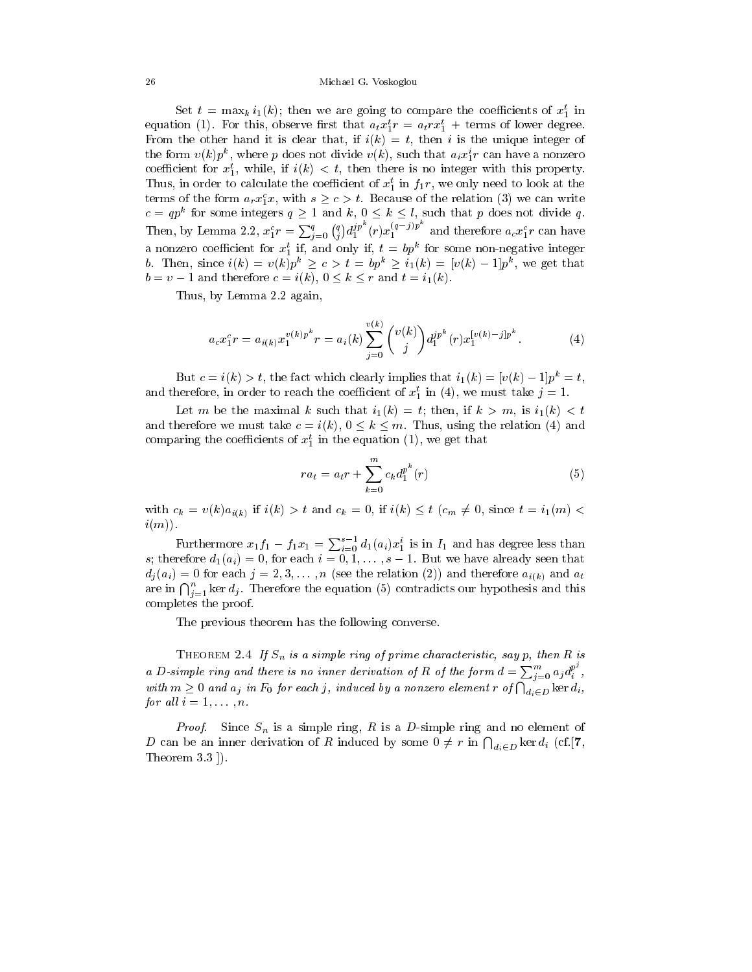## 26 Michael G. Voskoglou

Set  $t = \max_k i_1(\kappa)$ ; then we are going to compare the coencients of  $x_1$  in equation (1). For this, observe first that  $a_t x_1^r r = a_t r x_1^r +$  terms of lower degree. From the other hand it is clear that, if  $i(k) = t$ , then i is the unique integer of the form  $v(\kappa)p$ ; where p does not divide  $v(\kappa)$ , such that  $a_ix_1r$  can have a nonzero coefficient for  $x_1$ , while, if  $i(k) < i$ , then there is no integer with this property. Thus, in order to calculate the coefficient of  $x_1$  in  $J_1r$ , we only need to look at the terms of the form  $a_rx_1^c$ , with  $s \geq c > t$ . Because of the relation (3) we can write  $c = qp^k$  for some integers  $q \ge 1$  and  $k, 0 \le k \le l$ , such that p does not divide q. Then, by Lemma 2.2,  $x_1^c r = \sum_{j=0}^q {q \choose j} d_1^{jp^r} (r) x_1^{(q-j)p}$  and therefore  $a_c x_1^c r$  can have a nonzero coemcient for  $x_1$  n, and only n,  $\iota = \iota p^r$  for some non-negative integer b. Then, since  $i(k) = v(k)p^{\kappa} \geq c > t = bp^{\kappa} \geq i_1(k) = [v(k) - 1]p^{\kappa}$ , we get that  $b = v - 1$  and therefore  $c = i(k)$ ,  $0 \le k \le r$  and  $t = i_1(k)$ .

Thus, by Lemma 2.2 again,

$$
a_c x_1^c r = a_{i(k)} x_1^{v(k)p^k} r = a_i(k) \sum_{j=0}^{v(k)} {v(k) \choose j} d_1^{jp^k} (r) x_1^{[v(k)-j]p^k}.
$$
 (4)

But  $c = i(k) > t$ , the fact which clearly implies that  $i_1(k) = [v(k) - 1]p^k = t$ , and therefore, in order to reach the coefficient of  $x_1$  in (4), we must take  $j = 1$ .

Let m be the maximal k such that  $i_1(k) = t$ ; then, if  $k > m$ , is  $i_1(k) < t$ and therefore we must take  $c = i(k)$ ,  $0 \le k \le m$ . Thus, using the relation (4) and comparing the coencients of  $x_1$  in the equation  $(1)$ , we get that

$$
ra_t = a_t r + \sum_{k=0}^{m} c_k d_1^{p^k}(r)
$$
\n(5)

with  $c_k = v(k)a_{i(k)}$  if  $i(k) > t$  and  $c_k = 0$ , if  $i(k) \leq t$   $(c_m \neq 0,$  since  $t = i_1(m) <$  $i(m)$ ).

Furthermore  $x_1 f_1 - f_1 x_1 = \sum_{i=0}^{s-1} d_1(a_i) x_1^i$  is in  $I_1$  and has degree less than s; therefore  $d_1(a_i) = 0$ , for each  $i = 0, 1, \ldots, s - 1$ . But we have already seen that  $d_i(a_i) = 0$  for each  $j = 2, 3, \ldots, n$  (see the relation (2)) and therefore  $a_{i(k)}$  and  $a_t$ are in  $\bigcap_{i=1}^n$  ker  $d_j$ . Therefore the equation (5) contradicts our hypothesis and this completes the proof.

The previous theorem has the following converse.

THEOREM 2.4 If  $S_n$  is a simple ring of prime characteristic, say p, then R is a D-simple ring and there is no inner derivation of R of the form  $d = \sum_{i=0}^{m} a_i d_i^{p^i}$ , with  $m \geq 0$  and  $a_j$  in  $F_0$  for each j, induced by a nonzero element  $r$  of  $\bigcap_{d_i \in D}$  ker  $d_i$ , for all  $i = 1, \ldots, n$ .

*Proof.* Since  $S_n$  is a simple ring, R is a D-simple ring and no element of D can be an inner derivation of R induced by some  $0 \neq r$  in  $\bigcap_{d_i \in D} \ker d_i$  (cf.[7, Theorem 3.3 ]).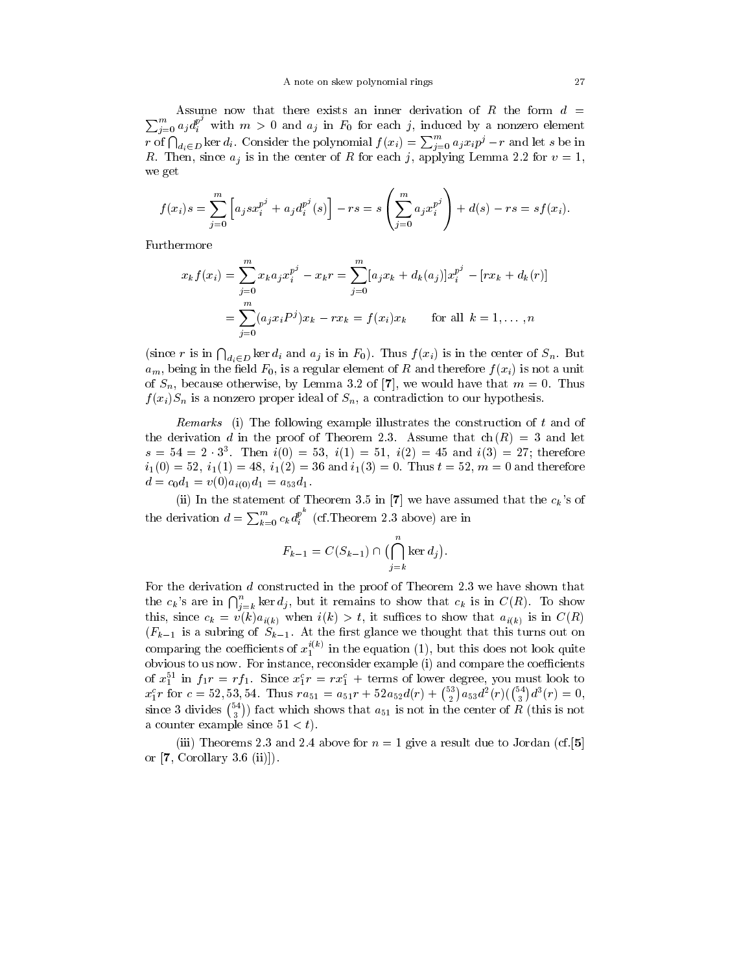$\sum_{i=0}^{m} a_{i} d_{i}^{p'}$  with  $m > 0$  and  $a_{j}$  in  $F_{0}$  for each j, induced by a nonzero element Assume now that there exists an inner derivation of R the form  $d =$ r of  $\bigcap_{d_i\in D}$  ker  $d_i$ . Consider the polynomial  $f(x_i) = \sum_{j=0}^m a_j x_i p^j - r$  and let s be in R. Then, since  $a_j$  is in the center of R for each j, applying Lemma 2.2 for  $v = 1$ , we get

$$
f(x_i)s = \sum_{j=0}^{m} \left[ a_j s x_i^{p^j} + a_j d_i^{p^j}(s) \right] - rs = s \left( \sum_{j=0}^{m} a_j x_i^{p^j} \right) + d(s) - rs = sf(x_i).
$$

Furthermore

$$
x_k f(x_i) = \sum_{j=0}^{m} x_k a_j x_i^{p^j} - x_k r = \sum_{j=0}^{m} [a_j x_k + d_k(a_j)] x_i^{p^j} - [r x_k + d_k(r)]
$$
  
= 
$$
\sum_{j=0}^{m} (a_j x_i P^j) x_k - r x_k = f(x_i) x_k \quad \text{for all } k = 1, ..., n
$$

(since r is in  $\bigcap_{d_i \in D} \ker d_i$  and  $a_j$  is in  $F_0$ ). Thus  $f(x_i)$  is in the center of  $S_n$ . But  $a_m$ , being in the field  $F_0$ , is a regular element of R and therefore  $f(x_i)$  is not a unit of  $S_n$ , because otherwise, by Lemma 3.2 of [7], we would have that  $m = 0$ . Thus  $f(x_i)S_n$  is a nonzero proper ideal of  $S_n$ , a contradiction to our hypothesis.

Remarks (i) The following example illustrates the construction of  $t$  and of the derivation d in the proof of Theorem 2.3. Assume that  $ch(R) = 3$  and let  $s = 34 = 2 \cdot 3$ . Then  $i(0) = 33$ ,  $i(1) = 31$ ,  $i(2) = 43$  and  $i(3) = 27$ ; therefore  $i_1(0) = 52$ ,  $i_1(1) = 48$ ,  $i_1(2) = 36$  and  $i_1(3) = 0$ . Thus  $t = 52$ ,  $m = 0$  and therefore  $d = c_0 d_1 = v(0) a_{i(0)} d_1 = a_{53} d_1.$ 

(ii) In the statement of Theorem 3.5 in [7] we have assumed that the  $c_k$ 's of the derivation  $d = \sum_{k=0}^{m} c_k d_i^{p^*}$  (cf. Theorem 2.3 above) are in

$$
F_{k-1} = C(S_{k-1}) \cap \bigl(\bigcap_{j=k}^{n} \ker d_{j}\bigr).
$$

For the derivation d constructed in the proof of Theorem 2.3 we have shown that the  $c_k$ 's are in  $\bigcap_{j=k}^n \ker d_j$ , but it remains to show that  $c_k$  is in  $C(R)$ . To show this, since  $c_k = v(k)a_{i(k)}$  when  $i(k) > t$ , it suffices to show that  $a_{i(k)}$  is in  $C(R)$  $(F_{k-1}$  is a subring of  $S_{k-1}$ . At the first glance we thought that this turns out on comparing the coefficients of  $x_1^{\leftarrow}$  ' in the equation (1), but this does not look quite obvious to us now. For instance, reconsider example (i) and compare the coefficients of  $x_1$ <sup>-</sup> in  $f_1r = r f_1$ . Since  $x_1r = rx_1$  + terms of lower degree, you must look to  $x_1^c r$  for  $c = 52, 53, 54$ . Thus  $ra_{51} = a_{51}r + 52a_{52}d(r) + {53 \choose 2}a_{53}d^2(r)({54 \choose 3}d^3(r) = 0$ ,<br>since 3 divides  ${54 \choose 3}$  fact which shows that  $a_{51}$  is not in the center of R (this is not a counter example since  $51 < t$ .

(iii) Theorems 2.3 and 2.4 above for  $n = 1$  give a result due to Jordan (cf. [5] or  $[7, Corollary 3.6 (ii)]$ .